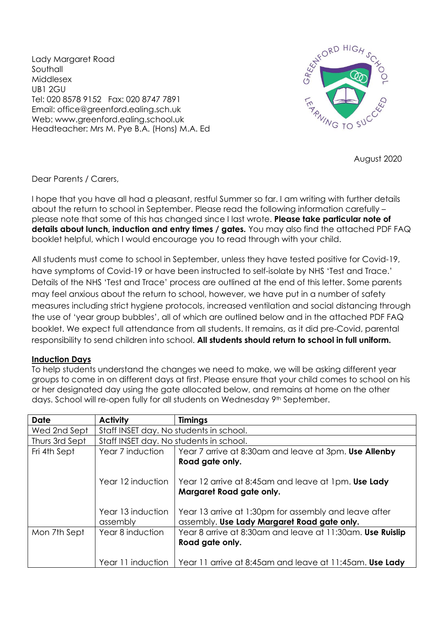Lady Margaret Road **Southall** Middlesex UB1 2GU Tel: 020 8578 9152 Fax: 020 8747 7891 Email: office@greenford.ealing.sch.uk Web: www.greenford.ealing.school.uk Headteacher: Mrs M. Pye B.A. (Hons) M.A. Ed



August 2020

Dear Parents / Carers,

I hope that you have all had a pleasant, restful Summer so far. I am writing with further details about the return to school in September. Please read the following information carefully – please note that some of this has changed since I last wrote. **Please take particular note of details about lunch, induction and entry times / gates.** You may also find the attached PDF FAQ booklet helpful, which I would encourage you to read through with your child.

All students must come to school in September, unless they have tested positive for Covid-19, have symptoms of Covid-19 or have been instructed to self-isolate by NHS 'Test and Trace.' Details of the NHS 'Test and Trace' process are outlined at the end of this letter. Some parents may feel anxious about the return to school, however, we have put in a number of safety measures including strict hygiene protocols, increased ventilation and social distancing through the use of 'year group bubbles', all of which are outlined below and in the attached PDF FAQ booklet. We expect full attendance from all students. It remains, as it did pre-Covid, parental responsibility to send children into school. **All students should return to school in full uniform.**

#### **Induction Days**

To help students understand the changes we need to make, we will be asking different year groups to come in on different days at first. Please ensure that your child comes to school on his or her designated day using the gate allocated below, and remains at home on the other days. School will re-open fully for all students on Wednesday 9<sup>th</sup> September.

| <b>Date</b>    | <b>Activity</b>                         | <b>Timings</b>                                                                  |  |
|----------------|-----------------------------------------|---------------------------------------------------------------------------------|--|
| Wed 2nd Sept   | Staff INSET day. No students in school. |                                                                                 |  |
| Thurs 3rd Sept | Staff INSET day. No students in school. |                                                                                 |  |
| Fri 4th Sept   | Year 7 induction                        | Year 7 arrive at 8:30am and leave at 3pm. Use Allenby                           |  |
|                |                                         | Road gate only.                                                                 |  |
|                | Year 12 induction                       | Year 12 arrive at 8:45am and leave at 1pm. Use Lady<br>Margaret Road gate only. |  |
|                | Year 13 induction                       | Year 13 arrive at 1:30pm for assembly and leave after                           |  |
|                | assembly                                | assembly. Use Lady Margaret Road gate only.                                     |  |
| Mon 7th Sept   | Year 8 induction                        | Year 8 arrive at 8:30am and leave at 11:30am. Use Ruislip                       |  |
|                |                                         | Road gate only.                                                                 |  |
|                |                                         |                                                                                 |  |
|                | Year 11 induction                       | Year 11 arrive at 8:45am and leave at 11:45am. Use Lady                         |  |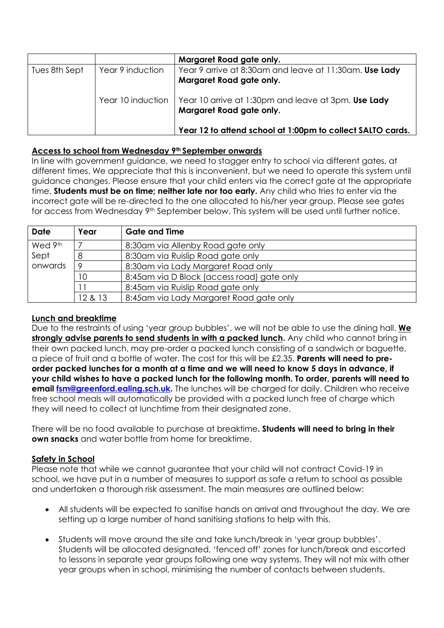|               |                  | Margaret Road gate only.                                                                            |
|---------------|------------------|-----------------------------------------------------------------------------------------------------|
| Tues 8th Sept | Year 9 induction | Year 9 arrive at 8:30am and leave at 11:30am. Use Lady<br>Margaret Road gate only.                  |
|               |                  | Year 10 induction   Year 10 arrive at 1:30pm and leave at 3pm. Use Lady<br>Margaret Road gate only. |
|               |                  | Year 12 to attend school at 1:00pm to collect SALTO cards.                                          |

## **Access to school from Wednesday 9th September onwards**

In line with government guidance, we need to stagger entry to school via different gates, at different times. We appreciate that this is inconvenient, but we need to operate this system until guidance changes. Please ensure that your child enters via the correct gate at the appropriate time. **Students must be on time; neither late nor too early.** Any child who tries to enter via the incorrect gate will be re-directed to the one allocated to his/her year group. Please see gates for access from Wednesday 9th September below. This system will be used until further notice.

| <b>Date</b> | Year    | <b>Gate and Time</b>                       |
|-------------|---------|--------------------------------------------|
| Wed 9th     |         | 8:30am via Allenby Road gate only          |
| Sept        |         | 8:30am via Ruislip Road gate only          |
| onwards     |         | 8:30am via Lady Margaret Road only         |
|             | 10      | 8:45am via D Block (access road) gate only |
|             |         | 8:45am via Ruislip Road gate only          |
|             | 12 & 13 | 8:45am via Lady Margaret Road gate only    |

## **Lunch and breaktime**

Due to the restraints of using 'year group bubbles', we will not be able to use the dining hall. **We strongly advise parents to send students in with a packed lunch.** Any child who cannot bring in their own packed lunch, may pre-order a packed lunch consisting of a sandwich or baguette, a piece of fruit and a bottle of water. The cost for this will be £2.35. **Parents will need to preorder packed lunches for a month at a time and we will need to know 5 days in advance, if your child wishes to have a packed lunch for the following month. To order, parents will need to email [fsm@greenford.ealing.sch.uk.](mailto:fsm@greenford.ealing.sch.uk)** The lunches will be charged for daily. Children who receive free school meals will automatically be provided with a packed lunch free of charge which they will need to collect at lunchtime from their designated zone.

There will be no food available to purchase at breaktime**. Students will need to bring in their own snacks** and water bottle from home for breaktime.

## **Safety in School**

Please note that while we cannot guarantee that your child will not contract Covid-19 in school, we have put in a number of measures to support as safe a return to school as possible and undertaken a thorough risk assessment. The main measures are outlined below:

- All students will be expected to sanitise hands on arrival and throughout the day. We are setting up a large number of hand sanitising stations to help with this.
- Students will move around the site and take lunch/break in 'year group bubbles'. Students will be allocated designated, 'fenced off' zones for lunch/break and escorted to lessons in separate year groups following one way systems. They will not mix with other year groups when in school, minimising the number of contacts between students.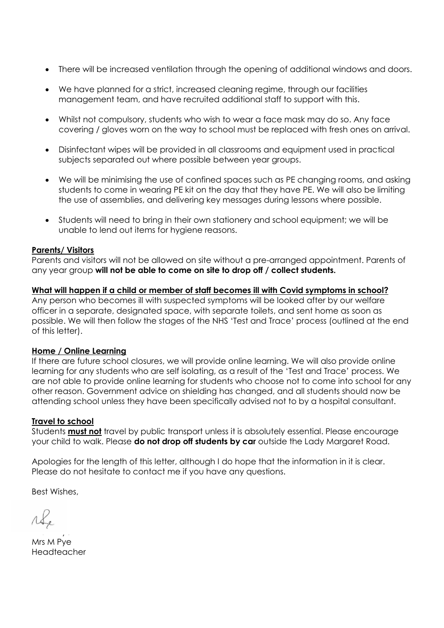- There will be increased ventilation through the opening of additional windows and doors.
- We have planned for a strict, increased cleaning regime, through our facilities management team, and have recruited additional staff to support with this.
- Whilst not compulsory, students who wish to wear a face mask may do so. Any face covering / gloves worn on the way to school must be replaced with fresh ones on arrival.
- Disinfectant wipes will be provided in all classrooms and equipment used in practical subjects separated out where possible between year groups.
- We will be minimising the use of confined spaces such as PE changing rooms, and asking students to come in wearing PE kit on the day that they have PE. We will also be limiting the use of assemblies, and delivering key messages during lessons where possible.
- Students will need to bring in their own stationery and school equipment; we will be unable to lend out items for hygiene reasons.

## **Parents/ Visitors**

Parents and visitors will not be allowed on site without a pre-arranged appointment. Parents of any year group **will not be able to come on site to drop off / collect students.**

## **What will happen if a child or member of staff becomes ill with Covid symptoms in school?**

Any person who becomes ill with suspected symptoms will be looked after by our welfare officer in a separate, designated space, with separate toilets, and sent home as soon as possible. We will then follow the stages of the NHS 'Test and Trace' process (outlined at the end of this letter).

#### **Home / Online Learning**

If there are future school closures, we will provide online learning. We will also provide online learning for any students who are self isolating, as a result of the 'Test and Trace' process. We are not able to provide online learning for students who choose not to come into school for any other reason. Government advice on shielding has changed, and all students should now be attending school unless they have been specifically advised not to by a hospital consultant.

#### **Travel to school**

Students **must not** travel by public transport unless it is absolutely essential. Please encourage your child to walk. Please **do not drop off students by car** outside the Lady Margaret Road.

Apologies for the length of this letter, although I do hope that the information in it is clear. Please do not hesitate to contact me if you have any questions.

Best Wishes,

 $\Omega$ 1Se

 $\cdots$  .  $\cdots$  ,  $\cdots$ Mrs M Pye Headteacher